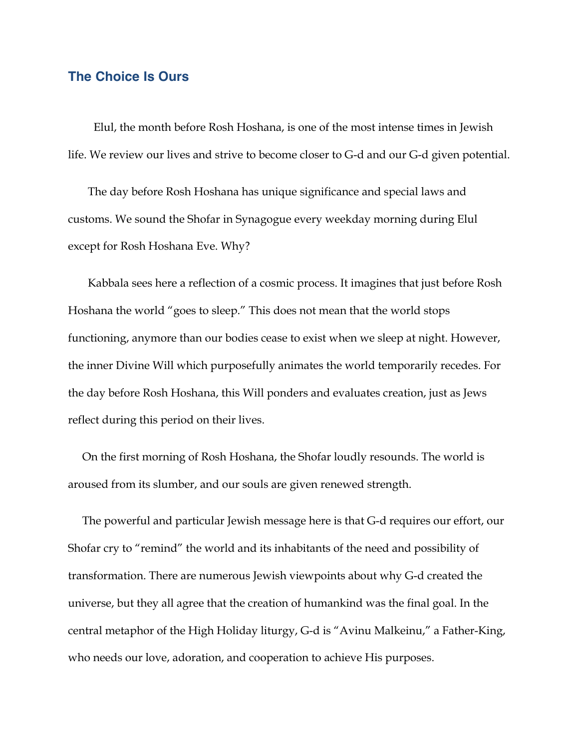## **The Choice Is Ours**

 Elul, the month before Rosh Hoshana, is one of the most intense times in Jewish life. We review our lives and strive to become closer to G-d and our G-d given potential.

 The day before Rosh Hoshana has unique significance and special laws and customs. We sound the Shofar in Synagogue every weekday morning during Elul except for Rosh Hoshana Eve. Why?

 Kabbala sees here a reflection of a cosmic process. It imagines that just before Rosh Hoshana the world "goes to sleep." This does not mean that the world stops functioning, anymore than our bodies cease to exist when we sleep at night. However, the inner Divine Will which purposefully animates the world temporarily recedes. For the day before Rosh Hoshana, this Will ponders and evaluates creation, just as Jews reflect during this period on their lives.

 On the first morning of Rosh Hoshana, the Shofar loudly resounds. The world is aroused from its slumber, and our souls are given renewed strength.

 The powerful and particular Jewish message here is that G-d requires our effort, our Shofar cry to "remind" the world and its inhabitants of the need and possibility of transformation. There are numerous Jewish viewpoints about why G-d created the universe, but they all agree that the creation of humankind was the final goal. In the central metaphor of the High Holiday liturgy, G-d is "Avinu Malkeinu," a Father-King, who needs our love, adoration, and cooperation to achieve His purposes.